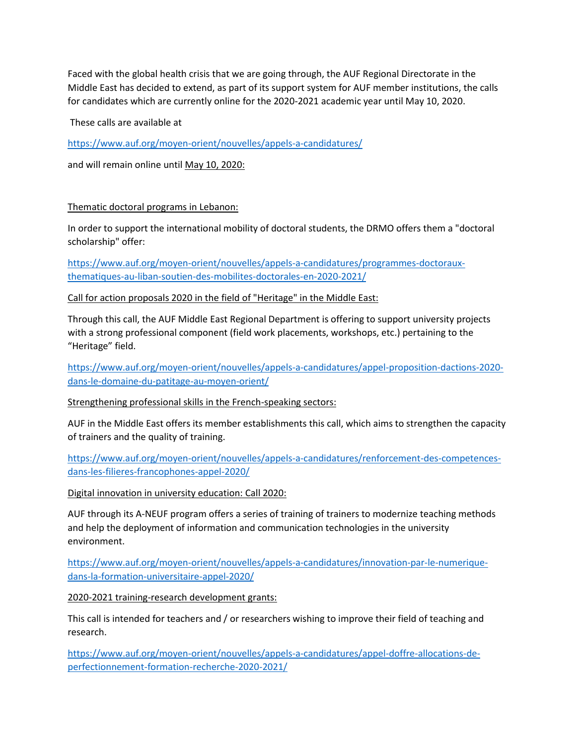Faced with the global health crisis that we are going through, the AUF Regional Directorate in the Middle East has decided to extend, as part of its support system for AUF member institutions, the calls for candidates which are currently online for the 2020-2021 academic year until May 10, 2020.

These calls are available at

<https://www.auf.org/moyen-orient/nouvelles/appels-a-candidatures/>

and will remain online until May 10, 2020:

## Thematic doctoral programs in Lebanon:

In order to support the international mobility of doctoral students, the DRMO offers them a "doctoral scholarship" offer:

[https://www.auf.org/moyen-orient/nouvelles/appels-a-candidatures/programmes-doctoraux](https://www.auf.org/moyen-orient/nouvelles/appels-a-candidatures/programmes-doctoraux-thematiques-au-liban-soutien-des-mobilites-doctorales-en-2020-2021/)[thematiques-au-liban-soutien-des-mobilites-doctorales-en-2020-2021/](https://www.auf.org/moyen-orient/nouvelles/appels-a-candidatures/programmes-doctoraux-thematiques-au-liban-soutien-des-mobilites-doctorales-en-2020-2021/)

Call for action proposals 2020 in the field of "Heritage" in the Middle East:

Through this call, the AUF Middle East Regional Department is offering to support university projects with a strong professional component (field work placements, workshops, etc.) pertaining to the "Heritage" field.

[https://www.auf.org/moyen-orient/nouvelles/appels-a-candidatures/appel-proposition-dactions-2020](https://www.auf.org/moyen-orient/nouvelles/appels-a-candidatures/appel-proposition-dactions-2020-dans-le-domaine-du-patitage-au-moyen-orient/) [dans-le-domaine-du-patitage-au-moyen-orient/](https://www.auf.org/moyen-orient/nouvelles/appels-a-candidatures/appel-proposition-dactions-2020-dans-le-domaine-du-patitage-au-moyen-orient/)

Strengthening professional skills in the French-speaking sectors:

AUF in the Middle East offers its member establishments this call, which aims to strengthen the capacity of trainers and the quality of training.

[https://www.auf.org/moyen-orient/nouvelles/appels-a-candidatures/renforcement-des-competences](https://www.auf.org/moyen-orient/nouvelles/appels-a-candidatures/renforcement-des-competences-dans-les-filieres-francophones-appel-2020/)[dans-les-filieres-francophones-appel-2020/](https://www.auf.org/moyen-orient/nouvelles/appels-a-candidatures/renforcement-des-competences-dans-les-filieres-francophones-appel-2020/)

Digital innovation in university education: Call 2020:

AUF through its A-NEUF program offers a series of training of trainers to modernize teaching methods and help the deployment of information and communication technologies in the university environment.

[https://www.auf.org/moyen-orient/nouvelles/appels-a-candidatures/innovation-par-le-numerique](https://www.auf.org/moyen-orient/nouvelles/appels-a-candidatures/innovation-par-le-numerique-dans-la-formation-universitaire-appel-2020/)[dans-la-formation-universitaire-appel-2020/](https://www.auf.org/moyen-orient/nouvelles/appels-a-candidatures/innovation-par-le-numerique-dans-la-formation-universitaire-appel-2020/)

2020-2021 training-research development grants:

This call is intended for teachers and / or researchers wishing to improve their field of teaching and research.

[https://www.auf.org/moyen-orient/nouvelles/appels-a-candidatures/appel-doffre-allocations-de](https://www.auf.org/moyen-orient/nouvelles/appels-a-candidatures/appel-doffre-allocations-de-perfectionnement-formation-recherche-2020-2021/)[perfectionnement-formation-recherche-2020-2021/](https://www.auf.org/moyen-orient/nouvelles/appels-a-candidatures/appel-doffre-allocations-de-perfectionnement-formation-recherche-2020-2021/)